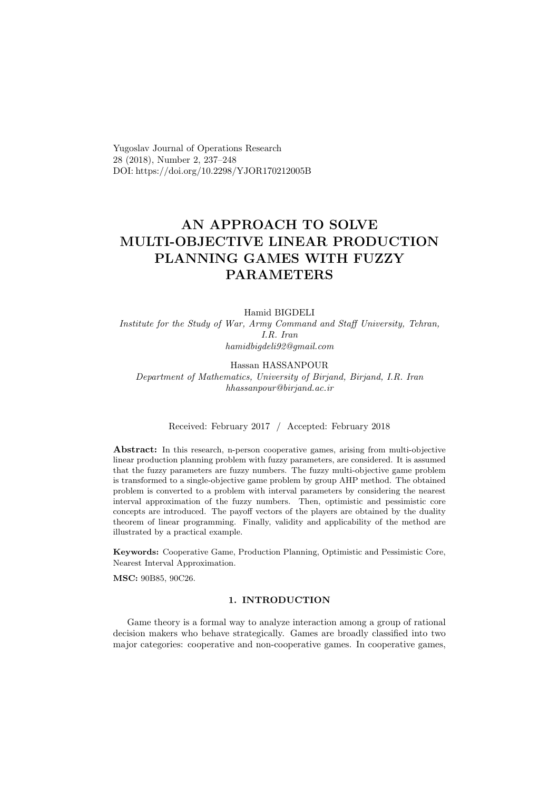Yugoslav Journal of Operations Research 28 (2018), Number 2, 237–248 DOI: https://doi.org/10.2298/YJOR170212005B

# AN APPROACH TO SOLVE MULTI-OBJECTIVE LINEAR PRODUCTION PLANNING GAMES WITH FUZZY PARAMETERS

#### Hamid BIGDELI

Institute for the Study of War, Army Command and Staff University, Tehran, I.R. Iran hamidbigdeli92@gmail.com

Hassan HASSANPOUR Department of Mathematics, University of Birjand, Birjand, I.R. Iran hhassanpour@birjand.ac.ir

## Received: February 2017 / Accepted: February 2018

Abstract: In this research, n-person cooperative games, arising from multi-objective linear production planning problem with fuzzy parameters, are considered. It is assumed that the fuzzy parameters are fuzzy numbers. The fuzzy multi-objective game problem is transformed to a single-objective game problem by group AHP method. The obtained problem is converted to a problem with interval parameters by considering the nearest interval approximation of the fuzzy numbers. Then, optimistic and pessimistic core concepts are introduced. The payoff vectors of the players are obtained by the duality theorem of linear programming. Finally, validity and applicability of the method are illustrated by a practical example.

Keywords: Cooperative Game, Production Planning, Optimistic and Pessimistic Core, Nearest Interval Approximation.

MSC: 90B85, 90C26.

### 1. INTRODUCTION

Game theory is a formal way to analyze interaction among a group of rational decision makers who behave strategically. Games are broadly classified into two major categories: cooperative and non-cooperative games. In cooperative games,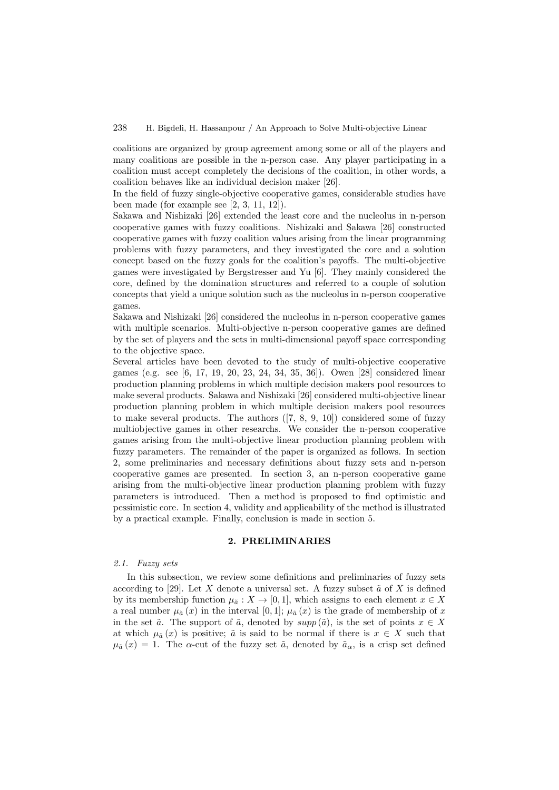coalitions are organized by group agreement among some or all of the players and many coalitions are possible in the n-person case. Any player participating in a coalition must accept completely the decisions of the coalition, in other words, a coalition behaves like an individual decision maker [26].

In the field of fuzzy single-objective cooperative games, considerable studies have been made (for example see [2, 3, 11, 12]).

Sakawa and Nishizaki [26] extended the least core and the nucleolus in n-person cooperative games with fuzzy coalitions. Nishizaki and Sakawa [26] constructed cooperative games with fuzzy coalition values arising from the linear programming problems with fuzzy parameters, and they investigated the core and a solution concept based on the fuzzy goals for the coalition's payoffs. The multi-objective games were investigated by Bergstresser and Yu [6]. They mainly considered the core, defined by the domination structures and referred to a couple of solution concepts that yield a unique solution such as the nucleolus in n-person cooperative games.

Sakawa and Nishizaki [26] considered the nucleolus in n-person cooperative games with multiple scenarios. Multi-objective n-person cooperative games are defined by the set of players and the sets in multi-dimensional payoff space corresponding to the objective space.

Several articles have been devoted to the study of multi-objective cooperative games (e.g. see [6, 17, 19, 20, 23, 24, 34, 35, 36]). Owen [28] considered linear production planning problems in which multiple decision makers pool resources to make several products. Sakawa and Nishizaki [26] considered multi-objective linear production planning problem in which multiple decision makers pool resources to make several products. The authors ([7, 8, 9, 10]) considered some of fuzzy multiobjective games in other researchs. We consider the n-person cooperative games arising from the multi-objective linear production planning problem with fuzzy parameters. The remainder of the paper is organized as follows. In section 2, some preliminaries and necessary definitions about fuzzy sets and n-person cooperative games are presented. In section 3, an n-person cooperative game arising from the multi-objective linear production planning problem with fuzzy parameters is introduced. Then a method is proposed to find optimistic and pessimistic core. In section 4, validity and applicability of the method is illustrated by a practical example. Finally, conclusion is made in section 5.

## 2. PRELIMINARIES

#### 2.1. Fuzzy sets

In this subsection, we review some definitions and preliminaries of fuzzy sets according to [29]. Let X denote a universal set. A fuzzy subset  $\tilde{a}$  of X is defined by its membership function  $\mu_{\tilde{a}} : X \to [0,1]$ , which assigns to each element  $x \in X$ a real number  $\mu_{\tilde{a}}(x)$  in the interval [0, 1];  $\mu_{\tilde{a}}(x)$  is the grade of membership of x in the set  $\tilde{a}$ . The support of  $\tilde{a}$ , denoted by  $supp(\tilde{a})$ , is the set of points  $x \in X$ at which  $\mu_{\tilde{a}}(x)$  is positive;  $\tilde{a}$  is said to be normal if there is  $x \in X$  such that  $\mu_{\tilde{a}}(x) = 1$ . The  $\alpha$ -cut of the fuzzy set  $\tilde{a}$ , denoted by  $\tilde{a}_{\alpha}$ , is a crisp set defined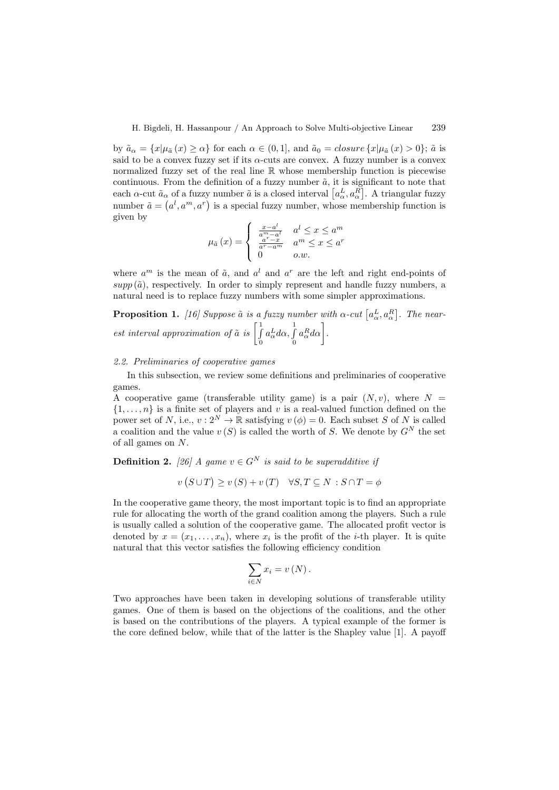by  $\tilde{a}_{\alpha} = \{x | \mu_{\tilde{a}}(x) \ge \alpha\}$  for each  $\alpha \in (0,1]$ , and  $\tilde{a}_0 = closure\{x | \mu_{\tilde{a}}(x) > 0\}$ ;  $\tilde{a}$  is said to be a convex fuzzy set if its  $\alpha$ -cuts are convex. A fuzzy number is a convex normalized fuzzy set of the real line  $\mathbb R$  whose membership function is piecewise continuous. From the definition of a fuzzy number  $\tilde{a}$ , it is significant to note that each  $\alpha$ -cut  $\tilde{a}_\alpha$  of a fuzzy number  $\tilde{a}$  is a closed interval  $\left[a^L_\alpha, a^R_\alpha\right]$ . A triangular fuzzy number  $\tilde{a} = (a^l, a^m, a^r)$  is a special fuzzy number, whose membership function is given by

$$
\mu_{\tilde{a}}\left(x\right) = \begin{cases}\n\frac{x - a^l}{a^m - a^l} & a^l \leq x \leq a^m \\
\frac{a^r - x}{a^r - a^m} & a^m \leq x \leq a^r \\
0 & o.w.\n\end{cases}
$$

where  $a^m$  is the mean of  $\tilde{a}$ , and  $a^l$  and  $a^r$  are the left and right end-points of  $supp(\tilde{a})$ , respectively. In order to simply represent and handle fuzzy numbers, a natural need is to replace fuzzy numbers with some simpler approximations.

**Proposition 1.** [16] Suppose  $\tilde{a}$  is a fuzzy number with  $\alpha$ -cut  $[a^L_{\alpha}, a^R_{\alpha}]$ . The nearest interval approximation of  $\tilde{a}$  is  $\begin{bmatrix} 1 \\ 1 \end{bmatrix}$ 0  $a_{\alpha}^L d\alpha, \int$ 0  $a_{\alpha}^R d\alpha\bigg].$ 

### 2.2. Preliminaries of cooperative games

In this subsection, we review some definitions and preliminaries of cooperative games.

A cooperative game (transferable utility game) is a pair  $(N, v)$ , where  $N =$  $\{1, \ldots, n\}$  is a finite set of players and v is a real-valued function defined on the power set of N, i.e.,  $v: 2^N \to \mathbb{R}$  satisfying  $v(\phi) = 0$ . Each subset S of N is called a coalition and the value  $v(S)$  is called the worth of S. We denote by  $G^N$  the set of all games on N.

**Definition 2.** [26] A game  $v \in G^N$  is said to be superadditive if

$$
v(S \cup T) \ge v(S) + v(T) \quad \forall S, T \subseteq N : S \cap T = \phi
$$

In the cooperative game theory, the most important topic is to find an appropriate rule for allocating the worth of the grand coalition among the players. Such a rule is usually called a solution of the cooperative game. The allocated profit vector is denoted by  $x = (x_1, \ldots, x_n)$ , where  $x_i$  is the profit of the *i*-th player. It is quite natural that this vector satisfies the following efficiency condition

$$
\sum_{i\in N} x_i = v(N).
$$

Two approaches have been taken in developing solutions of transferable utility games. One of them is based on the objections of the coalitions, and the other is based on the contributions of the players. A typical example of the former is the core defined below, while that of the latter is the Shapley value [1]. A payoff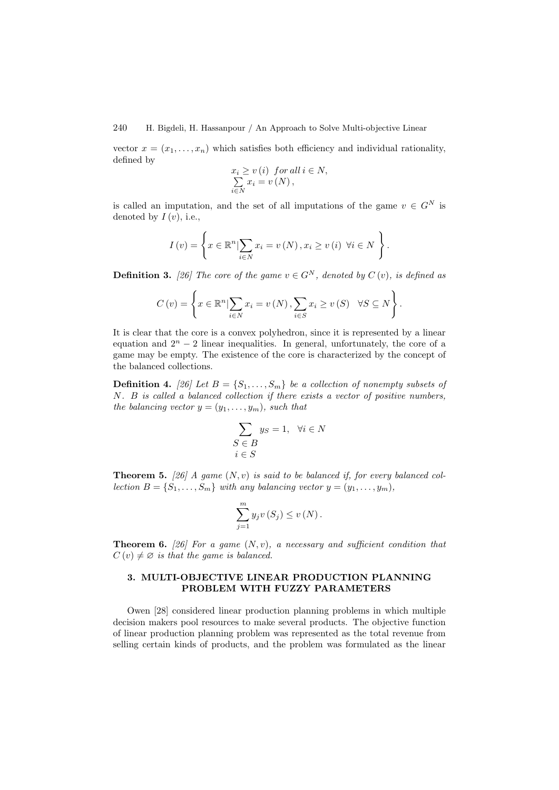240 H. Bigdeli, H. Hassanpour / An Approach to Solve Multi-objective Linear

vector  $x = (x_1, \ldots, x_n)$  which satisfies both efficiency and individual rationality, defined by

$$
x_i \ge v(i) \text{ for all } i \in N,
$$
  
\n
$$
\sum_{i \in N} x_i = v(N),
$$

is called an imputation, and the set of all imputations of the game  $v \in G^N$  is denoted by  $I(v)$ , i.e.,

$$
I(v) = \left\{ x \in \mathbb{R}^n \vert \sum_{i \in N} x_i = v(N), x_i \ge v(i) \ \forall i \in N \right\}.
$$

**Definition 3.** [26] The core of the game  $v \in G^N$ , denoted by  $C(v)$ , is defined as

$$
C(v) = \left\{ x \in \mathbb{R}^n \vert \sum_{i \in N} x_i = v(N), \sum_{i \in S} x_i \ge v(S) \quad \forall S \subseteq N \right\}.
$$

It is clear that the core is a convex polyhedron, since it is represented by a linear equation and  $2<sup>n</sup> - 2$  linear inequalities. In general, unfortunately, the core of a game may be empty. The existence of the core is characterized by the concept of the balanced collections.

**Definition 4.** [26] Let  $B = \{S_1, \ldots, S_m\}$  be a collection of nonempty subsets of N. B is called a balanced collection if there exists a vector of positive numbers, the balancing vector  $y = (y_1, \ldots, y_m)$ , such that

$$
\sum_{\substack{S \in B \\ i \in S}} y_S = 1, \quad \forall i \in N
$$

**Theorem 5.** [26] A game  $(N, v)$  is said to be balanced if, for every balanced collection  $B = \{S_1, \ldots, S_m\}$  with any balancing vector  $y = (y_1, \ldots, y_m)$ ,

$$
\sum_{j=1}^{m} y_j v(S_j) \leq v(N).
$$

**Theorem 6.** [26] For a game  $(N, v)$ , a necessary and sufficient condition that  $C(v) \neq \emptyset$  is that the game is balanced.

## 3. MULTI-OBJECTIVE LINEAR PRODUCTION PLANNING PROBLEM WITH FUZZY PARAMETERS

Owen [28] considered linear production planning problems in which multiple decision makers pool resources to make several products. The objective function of linear production planning problem was represented as the total revenue from selling certain kinds of products, and the problem was formulated as the linear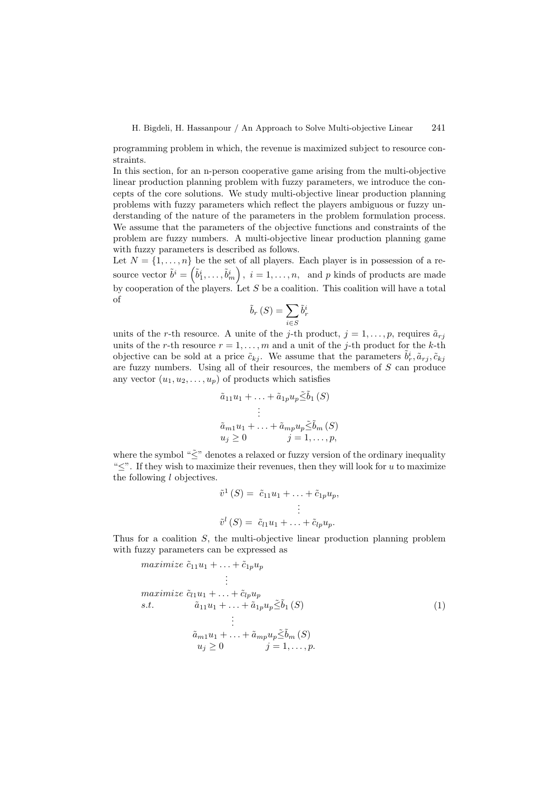programming problem in which, the revenue is maximized subject to resource constraints.

In this section, for an n-person cooperative game arising from the multi-objective linear production planning problem with fuzzy parameters, we introduce the concepts of the core solutions. We study multi-objective linear production planning problems with fuzzy parameters which reflect the players ambiguous or fuzzy understanding of the nature of the parameters in the problem formulation process. We assume that the parameters of the objective functions and constraints of the problem are fuzzy numbers. A multi-objective linear production planning game with fuzzy parameters is described as follows.

Let  $N = \{1, \ldots, n\}$  be the set of all players. Each player is in possession of a resource vector  $\tilde{b}^i = \left(\tilde{b}_1^i, \ldots, \tilde{b}_m^i\right), i = 1, \ldots, n$ , and p kinds of products are made by cooperation of the players. Let  $S$  be a coalition. This coalition will have a total of

$$
\tilde{b}_r(S) = \sum_{i \in S} \tilde{b}_r^i
$$

units of the r-th resource. A unite of the j-th product,  $j = 1, \ldots, p$ , requires  $\tilde{a}_{rj}$ units of the r-th resource  $r = 1, \ldots, m$  and a unit of the j-th product for the k-th objective can be sold at a price  $\tilde{c}_{kj}$ . We assume that the parameters  $\tilde{b}_r^i, \tilde{a}_{rj}, \tilde{c}_{kj}$ are fuzzy numbers. Using all of their resources, the members of S can produce any vector  $(u_1, u_2, \ldots, u_p)$  of products which satisfies

$$
\tilde{a}_{11}u_1 + \dots + \tilde{a}_{1p}u_p \tilde{\leq} \tilde{b}_1(S)
$$
\n
$$
\vdots
$$
\n
$$
\tilde{a}_{m1}u_1 + \dots + \tilde{a}_{mp}u_p \tilde{\leq} \tilde{b}_m(S)
$$
\n
$$
u_j \geq 0 \qquad j = 1, \dots, p,
$$

where the symbol " $\tilde{\leq}$ " denotes a relaxed or fuzzy version of the ordinary inequality " $\leq$ ". If they wish to maximize their revenues, then they will look for u to maximize the following l objectives.

$$
\tilde{v}^1(S) = \tilde{c}_{11}u_1 + \ldots + \tilde{c}_{1p}u_p,
$$
  
\n
$$
\vdots
$$
  
\n
$$
\tilde{v}^l(S) = \tilde{c}_{l1}u_1 + \ldots + \tilde{c}_{lp}u_p.
$$

Thus for a coalition S, the multi-objective linear production planning problem with fuzzy parameters can be expressed as

$$
\begin{aligned}\n\text{maximize } \tilde{c}_{11}u_1 + \dots + \tilde{c}_{1p}u_p \\
&\vdots \\
\text{maximize } \tilde{c}_{l1}u_1 + \dots + \tilde{c}_{lp}u_p \\
\text{s.t.} \qquad \tilde{a}_{11}u_1 + \dots + \tilde{a}_{1p}u_p \leq \tilde{b}_1(S) \\
&\vdots \\
\tilde{a}_{m1}u_1 + \dots + \tilde{a}_{mp}u_p \leq \tilde{b}_m(S) \\
u_j \geq 0 \qquad j = 1, \dots, p.\n\end{aligned} \tag{1}
$$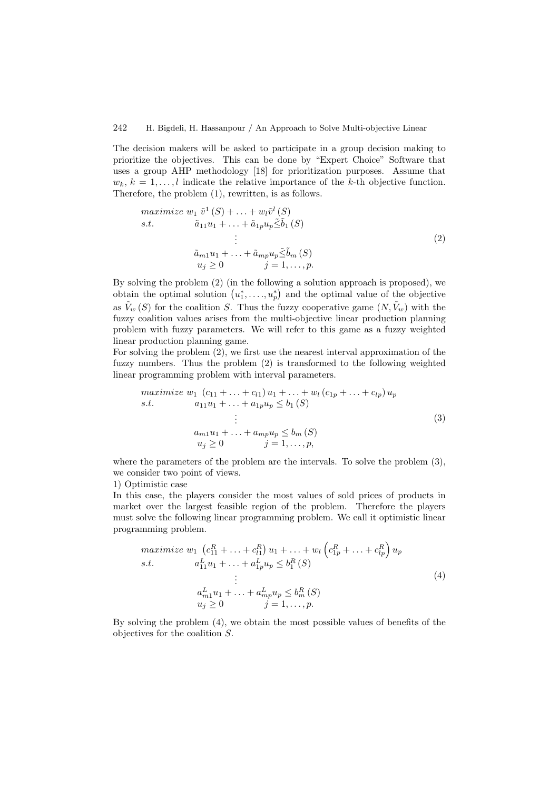## 242 H. Bigdeli, H. Hassanpour / An Approach to Solve Multi-objective Linear

The decision makers will be asked to participate in a group decision making to prioritize the objectives. This can be done by "Expert Choice" Software that uses a group AHP methodology [18] for prioritization purposes. Assume that  $w_k, k = 1, \ldots, l$  indicate the relative importance of the k-th objective function. Therefore, the problem (1), rewritten, is as follows.

$$
\begin{aligned}\n\text{maximize } & w_1 \, \tilde{v}^1 \left( S \right) + \ldots + w_l \tilde{v}^l \left( S \right) \\
\text{s.t.} \qquad \tilde{a}_{11} u_1 + \ldots + \tilde{a}_{1p} u_p \leq \tilde{b}_1 \left( S \right) \\
&\vdots \\
& \tilde{a}_{m1} u_1 + \ldots + \tilde{a}_{mp} u_p \leq \tilde{b}_m \left( S \right) \\
& u_j \geq 0 \qquad j = 1, \ldots, p.\n\end{aligned}\n\tag{2}
$$

By solving the problem (2) (in the following a solution approach is proposed), we obtain the optimal solution  $(u_1^*, \ldots, u_p^*)$  and the optimal value of the objective as  $\tilde{V}_w(S)$  for the coalition S. Thus the fuzzy cooperative game  $(N, \tilde{V}_w)$  with the fuzzy coalition values arises from the multi-objective linear production planning problem with fuzzy parameters. We will refer to this game as a fuzzy weighted linear production planning game.

For solving the problem (2), we first use the nearest interval approximation of the fuzzy numbers. Thus the problem (2) is transformed to the following weighted linear programming problem with interval parameters.

$$
\begin{aligned}\n\text{maximize } & w_1 \ (c_{11} + \ldots + c_{l1}) \ u_1 + \ldots + w_l \ (c_{1p} + \ldots + c_{lp}) \ u_p \\
\text{s.t.} \qquad & a_{11} u_1 + \ldots + a_{1p} u_p \le b_1 \ (S) \\
& \vdots \\
& a_{m1} u_1 + \ldots + a_{mp} u_p \le b_m \ (S) \\
& u_j \ge 0 \qquad j = 1, \ldots, p,\n\end{aligned}\n\tag{3}
$$

where the parameters of the problem are the intervals. To solve the problem (3), we consider two point of views.

1) Optimistic case

In this case, the players consider the most values of sold prices of products in market over the largest feasible region of the problem. Therefore the players must solve the following linear programming problem. We call it optimistic linear programming problem.

$$
\begin{aligned}\n\text{maximize } w_1 \quad & (c_{11}^R + \ldots + c_{l1}^R) \ u_1 + \ldots + w_l \left( c_{1p}^R + \ldots + c_{lp}^R \right) u_p \\
\text{s.t.} \quad & a_{11}^L u_1 + \ldots + a_{1p}^L u_p \le b_1^R \left( S \right) \\
& \vdots \\
& a_{m1}^L u_1 + \ldots + a_{mp}^L u_p \le b_m^R \left( S \right) \\
& u_j \ge 0 \qquad j = 1, \ldots, p.\n\end{aligned} \tag{4}
$$

By solving the problem (4), we obtain the most possible values of benefits of the objectives for the coalition S.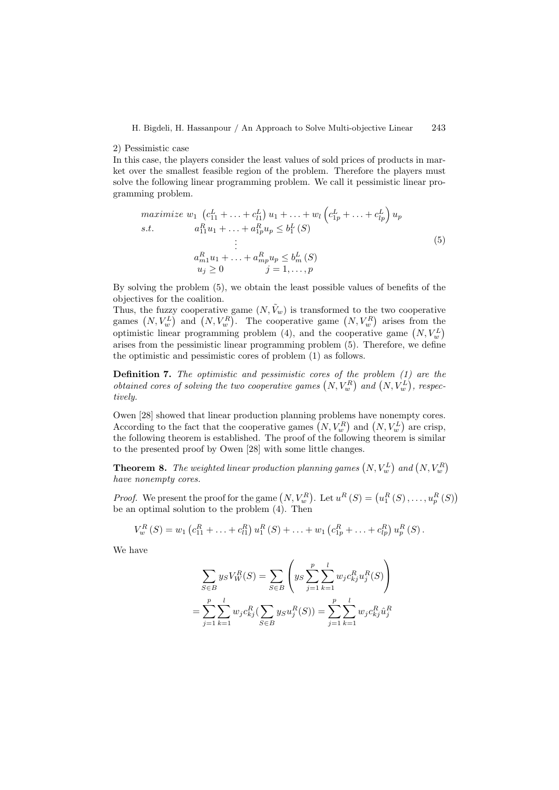#### 2) Pessimistic case

In this case, the players consider the least values of sold prices of products in market over the smallest feasible region of the problem. Therefore the players must solve the following linear programming problem. We call it pessimistic linear programming problem.

$$
\begin{aligned}\n\text{maximize } & w_1 \left( c_{11}^L + \ldots + c_{l1}^L \right) u_1 + \ldots + w_l \left( c_{1p}^L + \ldots + c_{lp}^L \right) u_p \\
\text{s.t.} \qquad & a_{11}^R u_1 + \ldots + a_{1p}^R u_p \leq b_1^L \left( S \right) \\
& \vdots \\
& a_{m1}^R u_1 + \ldots + a_{mp}^R u_p \leq b_m^L \left( S \right) \\
& u_j \geq 0 \qquad j = 1, \ldots, p\n\end{aligned} \tag{5}
$$

By solving the problem (5), we obtain the least possible values of benefits of the objectives for the coalition.

Thus, the fuzzy cooperative game  $(N, \tilde{V}_w)$  is transformed to the two cooperative games  $(N, V_w^L)$  and  $(N, V_w^R)$ . The cooperative game  $(N, V_w^R)$  arises from the optimistic linear programming problem (4), and the cooperative game  $(N, V_w^L)$ arises from the pessimistic linear programming problem (5). Therefore, we define the optimistic and pessimistic cores of problem (1) as follows.

Definition 7. The optimistic and pessimistic cores of the problem (1) are the obtained cores of solving the two cooperative games  $(N, V_w^R)$  and  $(N, V_w^L)$ , respectively.

Owen [28] showed that linear production planning problems have nonempty cores. According to the fact that the cooperative games  $(N, V_w^R)$  and  $(N, V_w^L)$  are crisp, the following theorem is established. The proof of the following theorem is similar to the presented proof by Owen [28] with some little changes.

**Theorem 8.** The weighted linear production planning games  $(N, V_w^L)$  and  $(N, V_w^R)$ have nonempty cores.

*Proof.* We present the proof for the game  $(N, V_w^R)$ . Let  $u^R(S) = (u_1^R(S), \ldots, u_p^R(S))$ be an optimal solution to the problem (4). Then

$$
V_w^R(S) = w_1 \left( c_{11}^R + \ldots + c_{l1}^R \right) u_1^R(S) + \ldots + w_1 \left( c_{1p}^R + \ldots + c_{lp}^R \right) u_p^R(S).
$$

We have

$$
\sum_{S \in B} y_S V_W^R(S) = \sum_{S \in B} \left( y_S \sum_{j=1}^p \sum_{k=1}^l w_j c_{kj}^R u_j^R(S) \right)
$$

$$
= \sum_{j=1}^p \sum_{k=1}^l w_j c_{kj}^R (\sum_{S \in B} y_S u_j^R(S)) = \sum_{j=1}^p \sum_{k=1}^l w_j c_{kj}^R \hat{u}_j^R
$$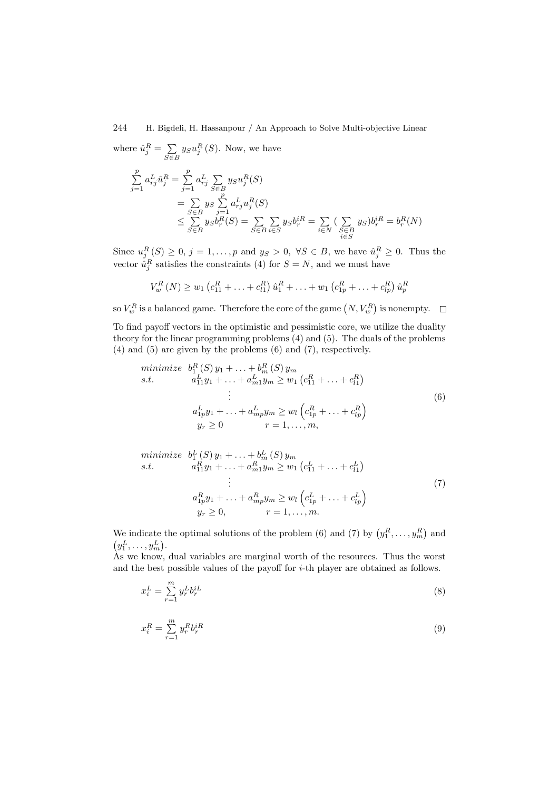## 244 H. Bigdeli, H. Hassanpour / An Approach to Solve Multi-objective Linear

where  $\hat{u}_j^R = \sum$  $\sum_{S \in B} y_S u_j^R(S)$ . Now, we have

$$
\sum_{j=1}^{p} a_{rj}^{L} \hat{u}_{j}^{R} = \sum_{j=1}^{p} a_{rj}^{L} \sum_{S \in B} y_{S} u_{j}^{R}(S)
$$
\n
$$
= \sum_{S \in B} y_{S} \sum_{j=1}^{p} a_{rj}^{L} u_{j}^{R}(S)
$$
\n
$$
\leq \sum_{S \in B} y_{S} b_{r}^{R}(S) = \sum_{S \in B} \sum_{i \in S} y_{S} b_{r}^{iR} = \sum_{i \in N} (\sum_{\substack{S \in B \\ i \in S}} y_{S}) b_{r}^{iR} = b_{r}^{R}(N)
$$

Since  $u_j^R(S) \geq 0$ ,  $j = 1, \ldots, p$  and  $y_S > 0$ ,  $\forall S \in B$ , we have  $\hat{u}_j^R \geq 0$ . Thus the vector  $\hat{u}_j^R$  satisfies the constraints (4) for  $S = N$ , and we must have

$$
V_w^R(N) \ge w_1 \left( c_{11}^R + \ldots + c_{l1}^R \right) \hat{u}_1^R + \ldots + w_1 \left( c_{1p}^R + \ldots + c_{lp}^R \right) \hat{u}_p^R
$$

so  $V^R_w$  is a balanced game. Therefore the core of the game  $\left(N, V^R_w\right)$  is nonempty.

To find payoff vectors in the optimistic and pessimistic core, we utilize the duality theory for the linear programming problems (4) and (5). The duals of the problems (4) and (5) are given by the problems (6) and (7), respectively.

minimize 
$$
b_1^R(S)y_1 + \ldots + b_m^R(S)y_m
$$
  
\ns.t.  $a_{11}^L y_1 + \ldots + a_{m1}^L y_m \ge w_1 (c_{11}^R + \ldots + c_{l1}^R)$   
\n $\vdots$   
\n $a_{1p}^L y_1 + \ldots + a_{mp}^L y_m \ge w_l (c_{1p}^R + \ldots + c_{lp}^R)$   
\n $y_r \ge 0$   $r = 1, \ldots, m,$  (6)

minimize 
$$
b_1^L(S)y_1 + \ldots + b_m^L(S)y_m
$$
  
\ns.t.  $a_{11}^R y_1 + \ldots + a_{m1}^R y_m \ge w_1 (c_{11}^L + \ldots + c_{l1}^L)$   
\n $\vdots$   
\n $a_{1p}^R y_1 + \ldots + a_{mp}^R y_m \ge w_l (c_{1p}^L + \ldots + c_{lp}^L)$   
\n $y_r \ge 0, \qquad r = 1, \ldots, m.$  (7)

We indicate the optimal solutions of the problem (6) and (7) by  $(y_1^R, \ldots, y_m^R)$  and  $(y_1^L, \ldots, y_m^L).$ 

As we know, dual variables are marginal worth of the resources. Thus the worst and the best possible values of the payoff for i-th player are obtained as follows.

$$
x_i^L = \sum_{r=1}^m y_r^L b_r^{iL} \tag{8}
$$

$$
x_i^R = \sum_{r=1}^m y_r^R b_r^{iR} \tag{9}
$$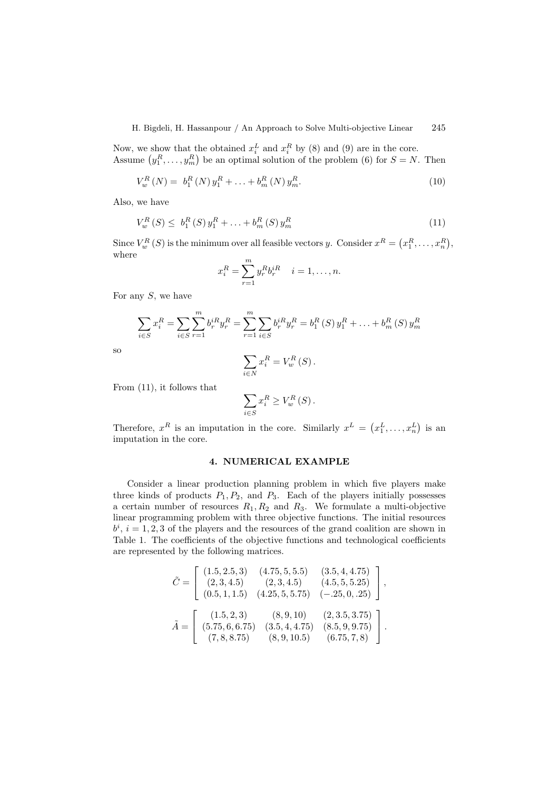Now, we show that the obtained  $x_i^L$  and  $x_i^R$  by (8) and (9) are in the core. Assume  $(y_1^R, \ldots, y_m^R)$  be an optimal solution of the problem (6) for  $S = N$ . Then

$$
V_w^R(N) = b_1^R(N) y_1^R + \ldots + b_m^R(N) y_m^R.
$$
\n(10)

Also, we have

$$
V_w^R(S) \le b_1^R(S) y_1^R + \ldots + b_m^R(S) y_m^R \tag{11}
$$

Since  $V_w^R(S)$  is the minimum over all feasible vectors y. Consider  $x^R = (x_1^R, \ldots, x_n^R)$ , where

$$
x_i^R = \sum_{r=1}^m y_r^R b_r^{iR} \quad i = 1, \dots, n.
$$

For any  $S$ , we have

$$
\sum_{i \in S} x_i^R = \sum_{i \in S} \sum_{r=1}^m b_r^{iR} y_r^R = \sum_{r=1}^m \sum_{i \in S} b_r^{iR} y_r^R = b_1^R(S) y_1^R + \dots + b_m^R(S) y_m^R
$$
  

$$
\sum x_i^R = V_n^R(S).
$$

so

$$
\sum_{j \in N} x_i^R = V_w^R(S).
$$

 $\frac{1}{i}$ 

From (11), it follows that

$$
\sum_{i \in S} x_i^R \ge V_w^R(S).
$$

Therefore,  $x^R$  is an imputation in the core. Similarly  $x^L = (x_1^L, \ldots, x_n^L)$  is an imputation in the core.

## 4. NUMERICAL EXAMPLE

Consider a linear production planning problem in which five players make three kinds of products  $P_1, P_2$ , and  $P_3$ . Each of the players initially possesses a certain number of resources  $R_1, R_2$  and  $R_3$ . We formulate a multi-objective linear programming problem with three objective functions. The initial resources  $b^i$ ,  $i = 1, 2, 3$  of the players and the resources of the grand coalition are shown in Table 1. The coefficients of the objective functions and technological coefficients are represented by the following matrices.

$$
\tilde{C} = \begin{bmatrix}\n(1.5, 2.5, 3) & (4.75, 5, 5.5) & (3.5, 4, 4.75) \\
(2, 3, 4.5) & (2, 3, 4.5) & (4.5, 5, 5.25) \\
(0.5, 1, 1.5) & (4.25, 5, 5.75) & (-.25, 0, .25)\n\end{bmatrix},
$$
\n
$$
\tilde{A} = \begin{bmatrix}\n(1.5, 2, 3) & (8, 9, 10) & (2, 3.5, 3.75) \\
(5.75, 6, 6.75) & (3.5, 4, 4.75) & (8.5, 9, 9.75) \\
(7, 8, 8.75) & (8, 9, 10.5) & (6.75, 7, 8)\n\end{bmatrix}.
$$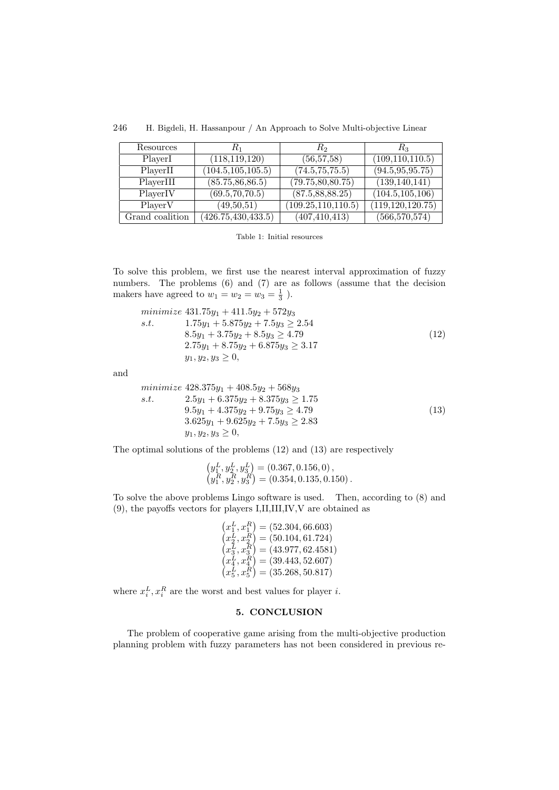| Resources       | $R_1$                | R <sub>2</sub>       | $R_3$              |
|-----------------|----------------------|----------------------|--------------------|
| PlayerI         | (118, 119, 120)      | (56, 57, 58)         | (109, 110, 110.5)  |
| PlayerII        | (104.5, 105, 105.5)  | (74.5, 75.75.5)      | (94.5, 95, 95.75)  |
| PlayerIII       | (85.75, 86, 86.5)    | (79.75, 80, 80.75)   | (139, 140, 141)    |
| PlayerIV        | (69.5, 70, 70.5)     | (87.5, 88, 88.25)    | (104.5, 105, 106)  |
| PlayerV         | (49,50,51)           | (109.25, 110, 110.5) | (119, 120, 120.75) |
| Grand coalition | (426.75, 430, 433.5) | (407, 410, 413)      | (566, 570, 574)    |

246 H. Bigdeli, H. Hassanpour / An Approach to Solve Multi-objective Linear

Table 1: Initial resources

To solve this problem, we first use the nearest interval approximation of fuzzy numbers. The problems  $(6)$  and  $(7)$  are as follows (assume that the decision makers have agreed to  $w_1 = w_2 = w_3 = \frac{1}{3}$ ).

$$
\begin{array}{ll}\n\text{minimize } 431.75y_1 + 411.5y_2 + 572y_3\\ \n\text{s.t.} & 1.75y_1 + 5.875y_2 + 7.5y_3 \ge 2.54\\ \n& 8.5y_1 + 3.75y_2 + 8.5y_3 \ge 4.79\\ \n& 2.75y_1 + 8.75y_2 + 6.875y_3 \ge 3.17\\ \n& y_1, y_2, y_3 \ge 0,\n\end{array} \tag{12}
$$

and

$$
\begin{array}{ll}\n\text{minimize } 428.375y_1 + 408.5y_2 + 568y_3\\ \n\text{s.t.} & 2.5y_1 + 6.375y_2 + 8.375y_3 \ge 1.75\\ \n& 9.5y_1 + 4.375y_2 + 9.75y_3 \ge 4.79\\ \n& 3.625y_1 + 9.625y_2 + 7.5y_3 \ge 2.83\\ \n& y_1, y_2, y_3 \ge 0,\n\end{array} \tag{13}
$$

The optimal solutions of the problems (12) and (13) are respectively

$$
(y_1^L, y_2^L, y_3^L) = (0.367, 0.156, 0), (y_1^R, y_2^R, y_3^R) = (0.354, 0.135, 0.150).
$$

To solve the above problems Lingo software is used. Then, according to (8) and (9), the payoffs vectors for players I,II,III,IV,V are obtained as

$$
(x_1^L, x_1^R) = (52.304, 66.603)
$$
  
\n
$$
(x_2^L, x_2^R) = (50.104, 61.724)
$$
  
\n
$$
(x_3^L, x_3^R) = (43.977, 62.4581)
$$
  
\n
$$
(x_4^L, x_4^R) = (39.443, 52.607)
$$
  
\n
$$
(x_5^L, x_5^R) = (35.268, 50.817)
$$

where  $x_i^L, x_i^R$  are the worst and best values for player *i*.

# 5. CONCLUSION

The problem of cooperative game arising from the multi-objective production planning problem with fuzzy parameters has not been considered in previous re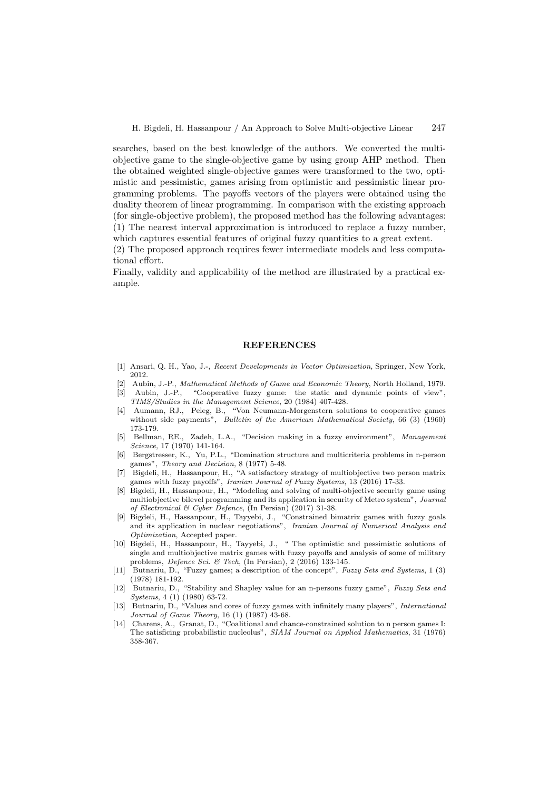searches, based on the best knowledge of the authors. We converted the multiobjective game to the single-objective game by using group AHP method. Then the obtained weighted single-objective games were transformed to the two, optimistic and pessimistic, games arising from optimistic and pessimistic linear programming problems. The payoffs vectors of the players were obtained using the duality theorem of linear programming. In comparison with the existing approach (for single-objective problem), the proposed method has the following advantages: (1) The nearest interval approximation is introduced to replace a fuzzy number, which captures essential features of original fuzzy quantities to a great extent.

(2) The proposed approach requires fewer intermediate models and less computational effort.

Finally, validity and applicability of the method are illustrated by a practical example.

### **REFERENCES**

- [1] Ansari, Q. H., Yao, J.-, Recent Developments in Vector Optimization, Springer, New York, 2012.
- [2] Aubin, J.-P., Mathematical Methods of Game and Economic Theory, North Holland, 1979.
- [3] Aubin, J.-P., "Cooperative fuzzy game: the static and dynamic points of view", TIMS/Studies in the Management Science, 20 (1984) 407-428.
- [4] Aumann, RJ., Peleg, B., "Von Neumann-Morgenstern solutions to cooperative games without side payments", Bulletin of the American Mathematical Society, 66 (3) (1960) 173-179.
- [5] Bellman, RE., Zadeh, L.A., "Decision making in a fuzzy environment", Management Science, 17 (1970) 141-164.
- [6] Bergstresser, K., Yu, P.L., "Domination structure and multicriteria problems in n-person games", Theory and Decision, 8 (1977) 5-48.
- [7] Bigdeli, H., Hassanpour, H., "A satisfactory strategy of multiobjective two person matrix games with fuzzy payoffs", Iranian Journal of Fuzzy Systems, 13 (2016) 17-33.
- [8] Bigdeli, H., Hassanpour, H., "Modeling and solving of multi-objective security game using multiobjective bilevel programming and its application in security of Metro system", Journal of Electronical & Cyber Defence, (In Persian) (2017) 31-38.
- [9] Bigdeli, H., Hassanpour, H., Tayyebi, J., "Constrained bimatrix games with fuzzy goals and its application in nuclear negotiations", Iranian Journal of Numerical Analysis and Optimization, Accepted paper.
- [10] Bigdeli, H., Hassanpour, H., Tayyebi, J., " The optimistic and pessimistic solutions of single and multiobjective matrix games with fuzzy payoffs and analysis of some of military problems, Defence Sci. & Tech, (In Persian), 2 (2016) 133-145.
- [11] Butnariu, D., "Fuzzy games; a description of the concept", Fuzzy Sets and Systems, 1 (3) (1978) 181-192.
- [12] Butnariu, D., "Stability and Shapley value for an n-persons fuzzy game", Fuzzy Sets and Systems, 4 (1) (1980) 63-72.
- [13] Butnariu, D., "Values and cores of fuzzy games with infinitely many players", International Journal of Game Theory, 16 (1) (1987) 43-68.
- [14] Charens, A., Granat, D., "Coalitional and chance-constrained solution to n person games I: The satisficing probabilistic nucleolus", SIAM Journal on Applied Mathematics, 31 (1976) 358-367.